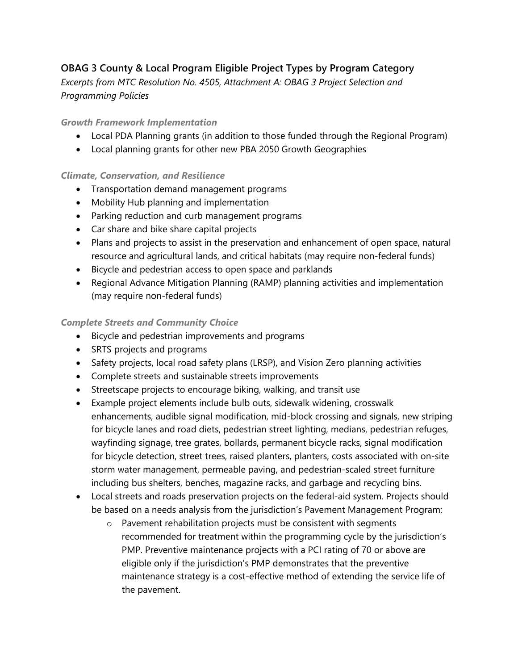# **OBAG 3 County & Local Program Eligible Project Types by Program Category**

*Excerpts from MTC Resolution No. 4505, Attachment A: OBAG 3 Project Selection and Programming Policies* 

## *Growth Framework Implementation*

- Local PDA Planning grants (in addition to those funded through the Regional Program)
- Local planning grants for other new PBA 2050 Growth Geographies

### *Climate, Conservation, and Resilience*

- Transportation demand management programs
- Mobility Hub planning and implementation
- Parking reduction and curb management programs
- Car share and bike share capital projects
- Plans and projects to assist in the preservation and enhancement of open space, natural resource and agricultural lands, and critical habitats (may require non-federal funds)
- Bicycle and pedestrian access to open space and parklands
- Regional Advance Mitigation Planning (RAMP) planning activities and implementation (may require non-federal funds)

### *Complete Streets and Community Choice*

- Bicycle and pedestrian improvements and programs
- SRTS projects and programs
- Safety projects, local road safety plans (LRSP), and Vision Zero planning activities
- Complete streets and sustainable streets improvements
- Streetscape projects to encourage biking, walking, and transit use
- Example project elements include bulb outs, sidewalk widening, crosswalk enhancements, audible signal modification, mid-block crossing and signals, new striping for bicycle lanes and road diets, pedestrian street lighting, medians, pedestrian refuges, wayfinding signage, tree grates, bollards, permanent bicycle racks, signal modification for bicycle detection, street trees, raised planters, planters, costs associated with on-site storm water management, permeable paving, and pedestrian-scaled street furniture including bus shelters, benches, magazine racks, and garbage and recycling bins.
- Local streets and roads preservation projects on the federal-aid system. Projects should be based on a needs analysis from the jurisdiction's Pavement Management Program:
	- o Pavement rehabilitation projects must be consistent with segments recommended for treatment within the programming cycle by the jurisdiction's PMP. Preventive maintenance projects with a PCI rating of 70 or above are eligible only if the jurisdiction's PMP demonstrates that the preventive maintenance strategy is a cost-effective method of extending the service life of the pavement.